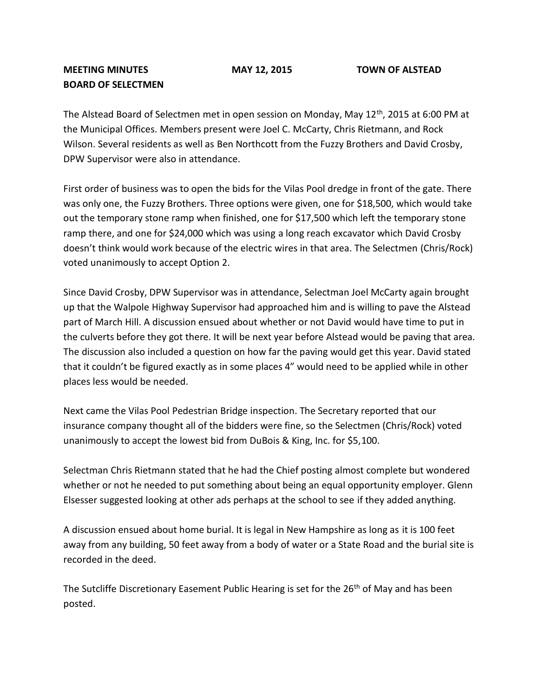## **MEETING MINUTES MAY 12, 2015 TOWN OF ALSTEAD BOARD OF SELECTMEN**

The Alstead Board of Selectmen met in open session on Monday, May 12<sup>th</sup>, 2015 at 6:00 PM at the Municipal Offices. Members present were Joel C. McCarty, Chris Rietmann, and Rock Wilson. Several residents as well as Ben Northcott from the Fuzzy Brothers and David Crosby, DPW Supervisor were also in attendance.

First order of business was to open the bids for the Vilas Pool dredge in front of the gate. There was only one, the Fuzzy Brothers. Three options were given, one for \$18,500, which would take out the temporary stone ramp when finished, one for \$17,500 which left the temporary stone ramp there, and one for \$24,000 which was using a long reach excavator which David Crosby doesn't think would work because of the electric wires in that area. The Selectmen (Chris/Rock) voted unanimously to accept Option 2.

Since David Crosby, DPW Supervisor was in attendance, Selectman Joel McCarty again brought up that the Walpole Highway Supervisor had approached him and is willing to pave the Alstead part of March Hill. A discussion ensued about whether or not David would have time to put in the culverts before they got there. It will be next year before Alstead would be paving that area. The discussion also included a question on how far the paving would get this year. David stated that it couldn't be figured exactly as in some places 4" would need to be applied while in other places less would be needed.

Next came the Vilas Pool Pedestrian Bridge inspection. The Secretary reported that our insurance company thought all of the bidders were fine, so the Selectmen (Chris/Rock) voted unanimously to accept the lowest bid from DuBois & King, Inc. for \$5,100.

Selectman Chris Rietmann stated that he had the Chief posting almost complete but wondered whether or not he needed to put something about being an equal opportunity employer. Glenn Elsesser suggested looking at other ads perhaps at the school to see if they added anything.

A discussion ensued about home burial. It is legal in New Hampshire as long as it is 100 feet away from any building, 50 feet away from a body of water or a State Road and the burial site is recorded in the deed.

The Sutcliffe Discretionary Easement Public Hearing is set for the 26<sup>th</sup> of May and has been posted.